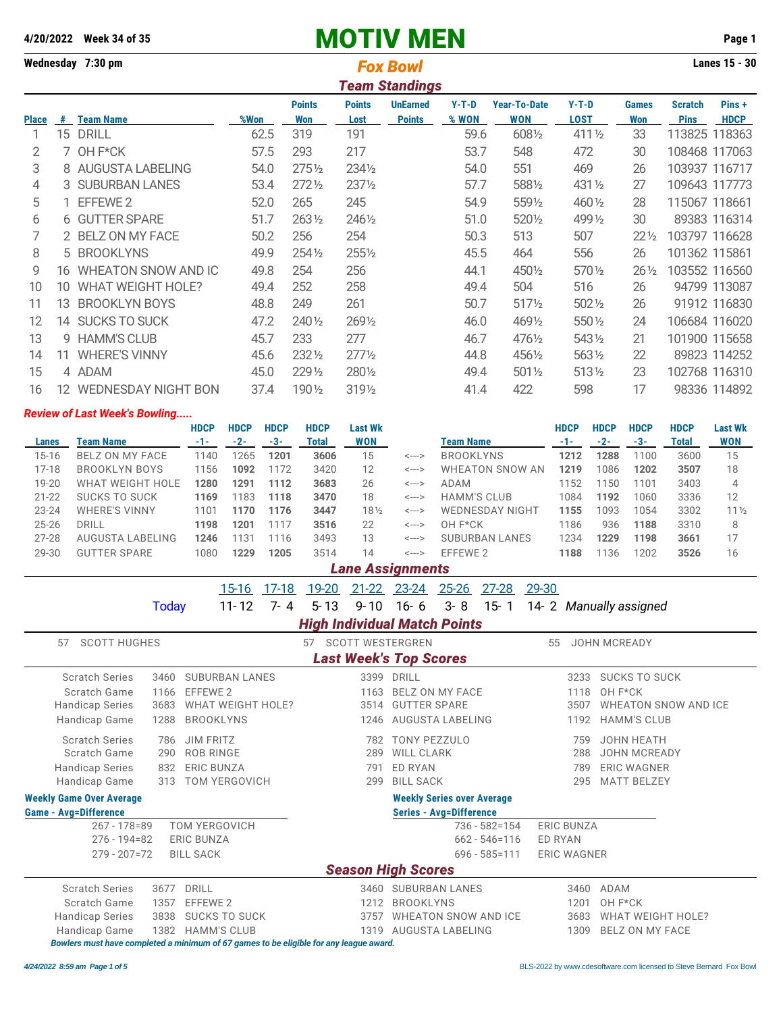# **4/20/2022 Week 34 of 35** MOTIV MEN **Page 1**

| Wednesday 7:30 pm |    |                          |      | <b>Lanes 15 - 30</b> |                       |                                  |                  |                                   |                        |                     |                               |                       |
|-------------------|----|--------------------------|------|----------------------|-----------------------|----------------------------------|------------------|-----------------------------------|------------------------|---------------------|-------------------------------|-----------------------|
|                   |    |                          |      |                      |                       | <b>Team Standings</b>            |                  |                                   |                        |                     |                               |                       |
| <b>Place</b>      | #  | <b>Team Name</b>         | %Won | <b>Points</b><br>Won | <b>Points</b><br>Lost | <b>UnEarned</b><br><b>Points</b> | $Y-T-D$<br>% WON | <b>Year-To-Date</b><br><b>WON</b> | $Y-T-D$<br><b>LOST</b> | <b>Games</b><br>Won | <b>Scratch</b><br><b>Pins</b> | Pins +<br><b>HDCP</b> |
|                   | 15 | <b>DRILL</b>             | 62.5 | 319                  | 191                   |                                  | 59.6             | 6081/2                            | 411 1/2                | 33                  |                               | 113825 118363         |
| 2                 | 7  | OH F*CK                  | 57.5 | 293                  | 217                   |                                  | 53.7             | 548                               | 472                    | 30                  |                               | 108468 117063         |
| 3                 |    | 8 AUGUSTA LABELING       | 54.0 | $275\frac{1}{2}$     | 2341/2                |                                  | 54.0             | 551                               | 469                    | 26                  |                               | 103937 116717         |
| 4                 |    | 3 SUBURBAN LANES         | 53.4 | $272\frac{1}{2}$     | 2371/2                |                                  | 57.7             | 5881/2                            | 431 1/2                | 27                  |                               | 109643 117773         |
| 5                 |    | EFFEWE 2                 | 52.0 | 265                  | 245                   |                                  | 54.9             | 5591/2                            | 460 1/2                | 28                  |                               | 115067 118661         |
| 6                 |    | 6 GUTTER SPARE           | 51.7 | 2631/2               | 2461/2                |                                  | 51.0             | 5201/2                            | 499 1/2                | 30                  |                               | 89383 116314          |
|                   |    | 2 BELZ ON MY FACE        | 50.2 | 256                  | 254                   |                                  | 50.3             | 513                               | 507                    | $22\frac{1}{2}$     |                               | 103797 116628         |
| 8                 |    | 5 BROOKLYNS              | 49.9 | 254 1/2              | 2551/2                |                                  | 45.5             | 464                               | 556                    | 26                  |                               | 101362 115861         |
| 9                 | 16 | WHEATON SNOW AND IC      | 49.8 | 254                  | 256                   |                                  | 44.1             | 4501/2                            | 570 1/2                | $26\frac{1}{2}$     |                               | 103552 116560         |
| 10                | 10 | <b>WHAT WEIGHT HOLE?</b> | 49.4 | 252                  | 258                   |                                  | 49.4             | 504                               | 516                    | 26                  |                               | 94799 113087          |
| 11                | 13 | <b>BROOKLYN BOYS</b>     | 48.8 | 249                  | 261                   |                                  | 50.7             | 5171/2                            | 5021/2                 | 26                  |                               | 91912 116830          |
| 12                | 14 | <b>SUCKS TO SUCK</b>     | 47.2 | 240 1/2              | 2691/2                |                                  | 46.0             | 4691/2                            | 550 1/2                | 24                  |                               | 106684 116020         |
| 13                | 9  | <b>HAMM'S CLUB</b>       | 45.7 | 233                  | 277                   |                                  | 46.7             | 4761/2                            | 543 1/2                | 21                  |                               | 101900 115658         |
| 14                | 11 | <b>WHERE'S VINNY</b>     | 45.6 | 2321/2               | $277\frac{1}{2}$      |                                  | 44.8             | 4561/2                            | 5631/2                 | 22                  |                               | 89823 114252          |
| 15                |    | 4 ADAM                   | 45.0 | 229 1/2              | 2801/2                |                                  | 49.4             | 5011/2                            | 5131/2                 | 23                  |                               | 102768 116310         |
| 16                |    | 12 WEDNESDAY NIGHT BON   | 37.4 | 190 1/2              | 3191/2                |                                  | 41.4             | 422                               | 598                    | 17                  |                               | 98336 114892          |

### *Review of Last Week's Bowling.....*

|           |                      | <b>HDCP</b> | <b>HDCP</b> | <b>HDCP</b> | <b>HDCP</b> | <b>Last Wk</b> |                            |                        | <b>HDCP</b> | <b>HDCP</b> | <b>HDCP</b> | <b>HDCP</b> | <b>Last Wk</b>  |
|-----------|----------------------|-------------|-------------|-------------|-------------|----------------|----------------------------|------------------------|-------------|-------------|-------------|-------------|-----------------|
| Lanes     | Team Name            | $-1-$       | $-2-$       | -3-         | Total       | WON            |                            | <b>Team Name</b>       | $-1-$       | $-2-$       | -3-         | Total       | <b>WON</b>      |
| $15 - 16$ | BELZ ON MY FACE      | 1140        | 1265        | 1201        | 3606        | 15             | <--->                      | <b>BROOKLYNS</b>       | 1212        | 1288        | 1100        | 3600        | 15              |
| $17-18$   | BROOKLYN BOYS        | 1156        | 1092        | 1172        | 3420        | 12             | $\leftarrow$ $\rightarrow$ | <b>WHEATON SNOW AN</b> | 1219        | 1086        | 1202        | 3507        | 18              |
| $19 - 20$ | WHAT WEIGHT HOLE     | 1280        | 1291        | 1112        | 3683        | 26             | $\leftarrow$ $\rightarrow$ | ADAM                   | 1152        | 1150        | 1101        | 3403        | $\overline{4}$  |
| $21 - 22$ | <b>SUCKS TO SUCK</b> | 1169        | 1183        | 1118        | 3470        | 18             | $\leftarrow$ $\rightarrow$ | HAMM'S CLUB            | 1084        | 1192        | 1060        | 3336        | 12              |
| $23 - 24$ | <b>WHERE'S VINNY</b> | 1101        | 1170        | 1176        | 3447        | 18½            | <--->                      | <b>WEDNESDAY NIGHT</b> | 1155        | 1093        | 1054        | 3302        | $11\frac{1}{2}$ |
| $25 - 26$ | DRILL                | 1198        | 1201        | 1117        | 3516        | 22             | $\leftarrow$ $\rightarrow$ | OH F*CK                | 1186        | 936         | 1188        | 3310        | 8               |
| $27 - 28$ | AUGUSTA LABELING     | 1246        | 1131        | 1116        | 3493        | 13             | $\leftarrow$ $\rightarrow$ | <b>SUBURBAN LANES</b>  | 1234        | 1229        | 1198        | 3661        | 17              |
| 29-30     | <b>GUTTER SPARE</b>  | 1080        | 1229        | 1205        | 3514        | 14             | <--->                      | EFFEWE 2               | 1188        | 1136        | 1202        | 3526        | 16              |
|           |                      |             |             |             |             |                |                            |                        |             |             |             |             |                 |

| <b>Lane Assignments</b> |  |  |
|-------------------------|--|--|
|                         |  |  |

|                                 |                   | $15 - 16$                | $17 - 18$ | 19-20                               | $21 - 22$ | $23 - 24$                     | $25 - 26$                         | 27-28             | 29-30          |                                     |
|---------------------------------|-------------------|--------------------------|-----------|-------------------------------------|-----------|-------------------------------|-----------------------------------|-------------------|----------------|-------------------------------------|
|                                 | Today             | $11 - 12$                | $7 - 4$   | $5 - 13$                            | $9 - 10$  | $16 - 6$                      | $3 - 8$                           | $15 - 1$          |                | 14-2 Manually assigned              |
|                                 |                   |                          |           | <b>High Individual Match Points</b> |           |                               |                                   |                   |                |                                     |
| <b>SCOTT HUGHES</b><br>57       |                   |                          |           | <b>SCOTT WESTERGREN</b><br>57       |           |                               |                                   |                   | 55             | <b>JOHN MCREADY</b>                 |
|                                 |                   |                          |           |                                     |           | <b>Last Week's Top Scores</b> |                                   |                   |                |                                     |
| <b>Scratch Series</b>           | 3460              | <b>SUBURBAN LANES</b>    |           |                                     | 3399      | <b>DRILL</b>                  |                                   |                   |                | <b>SUCKS TO SUCK</b><br>3233        |
| Scratch Game                    | EFFEWE 2<br>1166  |                          |           |                                     | 1163      |                               | <b>BELZ ON MY FACE</b>            |                   |                | OH F*CK<br>1118                     |
| <b>Handicap Series</b>          | 3683              | <b>WHAT WEIGHT HOLE?</b> |           |                                     | 3514      | <b>GUTTER SPARE</b>           |                                   |                   |                | <b>WHEATON SNOW AND ICE</b><br>3507 |
| Handicap Game                   | 1288              | <b>BROOKLYNS</b>         |           |                                     | 1246      |                               | AUGUSTA LABELING                  |                   |                | <b>HAMM'S CLUB</b><br>1192          |
| <b>Scratch Series</b>           | 786               | <b>JIM FRITZ</b>         |           |                                     | 782       | <b>TONY PEZZULO</b>           |                                   |                   |                | <b>JOHN HEATH</b><br>759            |
| Scratch Game                    | 290               | <b>ROB RINGE</b>         |           |                                     | 289       | <b>WILL CLARK</b>             |                                   |                   |                | JOHN MCREADY<br>288                 |
| <b>Handicap Series</b>          | 832               | <b>ERIC BUNZA</b>        |           |                                     | 791       | ED RYAN                       |                                   |                   |                | <b>ERIC WAGNER</b><br>789           |
| Handicap Game                   | 313               | TOM YERGOVICH            |           |                                     | 299       | <b>BILL SACK</b>              |                                   |                   |                | <b>MATT BELZEY</b><br>295           |
| <b>Weekly Game Over Average</b> |                   |                          |           |                                     |           |                               | <b>Weekly Series over Average</b> |                   |                |                                     |
| <b>Game - Avg=Difference</b>    |                   |                          |           |                                     |           |                               | <b>Series - Avg=Difference</b>    |                   |                |                                     |
| $267 - 178 = 89$                |                   | <b>TOM YERGOVICH</b>     |           |                                     |           |                               |                                   | $736 - 582 = 154$ |                | <b>ERIC BUNZA</b>                   |
| $276 - 194 = 82$                | <b>ERIC BUNZA</b> |                          |           |                                     |           |                               |                                   | $662 - 546 = 116$ | <b>ED RYAN</b> |                                     |
| $279 - 207 = 72$                | <b>BILL SACK</b>  |                          |           |                                     |           |                               |                                   | $696 - 585 = 111$ |                | <b>ERIC WAGNER</b>                  |
|                                 |                   |                          |           |                                     |           | <b>Season High Scores</b>     |                                   |                   |                |                                     |
| <b>Scratch Series</b>           | 3677<br>DRILL     |                          |           |                                     |           | 3460 SUBURBAN LANES           |                                   |                   |                | ADAM<br>3460                        |
| Scratch Game                    | EFFEWE 2<br>1357  |                          |           |                                     | 1212      | <b>BROOKLYNS</b>              |                                   |                   |                | OH F*CK<br>1201                     |
| <b>Handicap Series</b>          | 3838              | <b>SUCKS TO SUCK</b>     |           |                                     | 3757      |                               | <b>WHEATON SNOW AND ICE</b>       |                   |                | <b>WHAT WEIGHT HOLE?</b><br>3683    |
| Handicap Game                   | 1382              | <b>HAMM'S CLUB</b>       |           |                                     | 1319      | AUGUSTA LABELING              |                                   |                   |                | BELZ ON MY FACE<br>1309             |

*Bowlers must have completed a minimum of 67 games to be eligible for any league award.*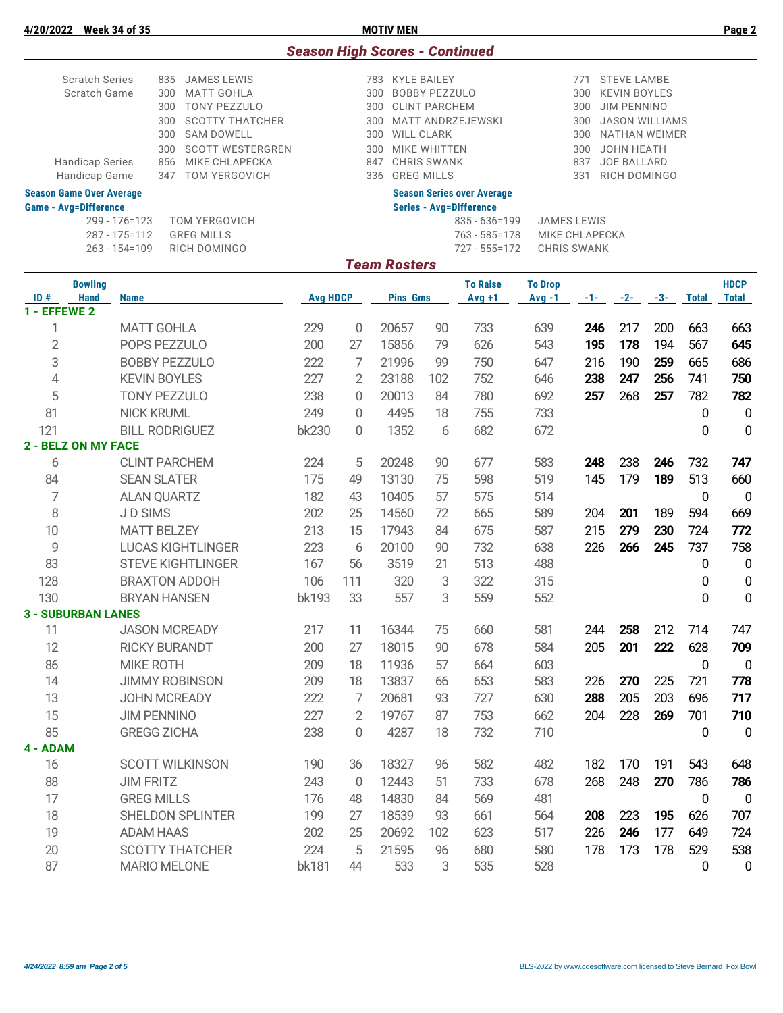| ULL.<br>ULCEN JA DI JJ |     |                      |     | <b>IVIU IIV IVILIV</b>                |     |                    |
|------------------------|-----|----------------------|-----|---------------------------------------|-----|--------------------|
|                        |     |                      |     | <b>Season High Scores - Continued</b> |     |                    |
| <b>Scratch Series</b>  |     | 835 JAMES LEWIS      |     | 783 KYLE BAILEY                       | 771 | STEVE LAMBE        |
|                        |     |                      |     |                                       |     |                    |
| Scratch Game           |     | 300 MATT GOHLA       |     | 300 BOBBY PEZZULO                     |     | 300 KEVIN BOYLES   |
|                        | 300 | TONY PEZZULO         |     | 300 CLINT PARCHEM                     |     | 300 JIM PENNINO    |
|                        |     | 300 SCOTTY THATCHER  |     | 300 MATT ANDRZEJEWSKI                 |     | 300 JASON WILLIAMS |
|                        |     | 300 SAM DOWELL       | 300 | WILL CLARK                            |     | 300 NATHAN WEIMER  |
|                        |     | 300 SCOTT WESTERGREN | 300 | MIKE WHITTEN                          |     | 300 JOHN HEATH     |
| <b>Handicap Series</b> | 856 | MIKE CHLAPECKA       |     | 847 CHRIS SWANK                       | 837 | JOE BALLARD        |
| Handicap Game          |     | 347 TOM YERGOVICH    |     | 336 GREG MILLS                        |     | 331 RICH DOMINGO   |
|                        |     |                      |     |                                       |     |                    |

| <b>Game - Avg=Difference</b> |                             | <b>Series - Ava=Difference</b> |                            |  |  |  |  |  |  |
|------------------------------|-----------------------------|--------------------------------|----------------------------|--|--|--|--|--|--|
|                              | 299 - 176=123 TOM YERGOVICH |                                | 835 - 636=199 JAMES LEWIS  |  |  |  |  |  |  |
| 287 - 175=112 GREG MILLS     |                             |                                | 763 - 585=178 MIKE CHLAPEC |  |  |  |  |  |  |
|                              | 263 - 154=109 RICH DOMINGO  |                                | 727 - 555=172 CHRIS SWANK  |  |  |  |  |  |  |

### **Season Game Over Average Season Series over Average**

299 JAMES LEWIS<br>269 - 1763 - 585 - 178 MIKE CHLAPE 763 - 585=178 MIKE CHLAPECKA<br>727 - 555=172 CHRIS SWANK

## *Team Rosters*

|                | <b>Bowling</b>             |                          |                 |                |                 |     | <b>To Raise</b> | <b>To Drop</b> |       |       |       |              | <b>HDCP</b>  |
|----------------|----------------------------|--------------------------|-----------------|----------------|-----------------|-----|-----------------|----------------|-------|-------|-------|--------------|--------------|
| ID#            | <b>Hand</b>                | <b>Name</b>              | <b>Avg HDCP</b> |                | <b>Pins Gms</b> |     | $Avq + 1$       | Avg -1         | $-1-$ | $-2-$ | $-3-$ | <b>Total</b> | <b>Total</b> |
| 1 - EFFEWE 2   |                            |                          |                 |                |                 |     |                 |                |       |       |       |              |              |
| 1              |                            | <b>MATT GOHLA</b>        | 229             | 0              | 20657           | 90  | 733             | 639            | 246   | 217   | 200   | 663          | 663          |
| $\overline{2}$ |                            | POPS PEZZULO             | 200             | 27             | 15856           | 79  | 626             | 543            | 195   | 178   | 194   | 567          | 645          |
| 3              |                            | <b>BOBBY PEZZULO</b>     | 222             | 7              | 21996           | 99  | 750             | 647            | 216   | 190   | 259   | 665          | 686          |
| $\overline{4}$ |                            | <b>KEVIN BOYLES</b>      | 227             | $\overline{2}$ | 23188           | 102 | 752             | 646            | 238   | 247   | 256   | 741          | 750          |
| 5              |                            | <b>TONY PEZZULO</b>      | 238             | 0              | 20013           | 84  | 780             | 692            | 257   | 268   | 257   | 782          | 782          |
| 81             |                            | <b>NICK KRUML</b>        | 249             | $\Omega$       | 4495            | 18  | 755             | 733            |       |       |       | $\mathbf 0$  | $\mathbf 0$  |
| 121            |                            | <b>BILL RODRIGUEZ</b>    | bk230           | $\Omega$       | 1352            | 6   | 682             | 672            |       |       |       | 0            | 0            |
|                | <b>2 - BELZ ON MY FACE</b> |                          |                 |                |                 |     |                 |                |       |       |       |              |              |
| 6              |                            | <b>CLINT PARCHEM</b>     | 224             | 5              | 20248           | 90  | 677             | 583            | 248   | 238   | 246   | 732          | 747          |
| 84             |                            | <b>SEAN SLATER</b>       | 175             | 49             | 13130           | 75  | 598             | 519            | 145   | 179   | 189   | 513          | 660          |
| 7              |                            | <b>ALAN QUARTZ</b>       | 182             | 43             | 10405           | 57  | 575             | 514            |       |       |       | 0            | $\mathbf 0$  |
| 8              |                            | JD SIMS                  | 202             | 25             | 14560           | 72  | 665             | 589            | 204   | 201   | 189   | 594          | 669          |
| 10             |                            | <b>MATT BELZEY</b>       | 213             | 15             | 17943           | 84  | 675             | 587            | 215   | 279   | 230   | 724          | 772          |
| $\mathbf Q$    |                            | <b>LUCAS KIGHTLINGER</b> | 223             | 6              | 20100           | 90  | 732             | 638            | 226   | 266   | 245   | 737          | 758          |
| 83             |                            | <b>STEVE KIGHTLINGER</b> | 167             | 56             | 3519            | 21  | 513             | 488            |       |       |       | 0            | 0            |
| 128            |                            | <b>BRAXTON ADDOH</b>     | 106             | 111            | 320             | 3   | 322             | 315            |       |       |       | 0            | 0            |
| 130            |                            | <b>BRYAN HANSEN</b>      | bk193           | 33             | 557             | 3   | 559             | 552            |       |       |       | 0            | $\mathbf 0$  |
|                | <b>3 - SUBURBAN LANES</b>  |                          |                 |                |                 |     |                 |                |       |       |       |              |              |
| 11             |                            | <b>JASON MCREADY</b>     | 217             | 11             | 16344           | 75  | 660             | 581            | 244   | 258   | 212   | 714          | 747          |
| 12             |                            | <b>RICKY BURANDT</b>     | 200             | 27             | 18015           | 90  | 678             | 584            | 205   | 201   | 222   | 628          | 709          |
| 86             |                            | <b>MIKE ROTH</b>         | 209             | 18             | 11936           | 57  | 664             | 603            |       |       |       | $\mathbf 0$  | 0            |
| 14             |                            | <b>JIMMY ROBINSON</b>    | 209             | 18             | 13837           | 66  | 653             | 583            | 226   | 270   | 225   | 721          | 778          |
| 13             |                            | <b>JOHN MCREADY</b>      | 222             | $\overline{7}$ | 20681           | 93  | 727             | 630            | 288   | 205   | 203   | 696          | 717          |
| 15             |                            | <b>JIM PENNINO</b>       | 227             | $\overline{2}$ | 19767           | 87  | 753             | 662            | 204   | 228   | 269   | 701          | 710          |
| 85             |                            | <b>GREGG ZICHA</b>       | 238             | 0              | 4287            | 18  | 732             | 710            |       |       |       | 0            | $\mathbf 0$  |
| 4 - ADAM       |                            |                          |                 |                |                 |     |                 |                |       |       |       |              |              |
| 16             |                            | <b>SCOTT WILKINSON</b>   | 190             | 36             | 18327           | 96  | 582             | 482            | 182   | 170   | 191   | 543          | 648          |
| 88             |                            | <b>JIM FRITZ</b>         | 243             | $\overline{0}$ | 12443           | 51  | 733             | 678            | 268   | 248   | 270   | 786          | 786          |
| 17             |                            | <b>GREG MILLS</b>        | 176             | 48             | 14830           | 84  | 569             | 481            |       |       |       | 0            | $\mathbf 0$  |
| 18             |                            | SHELDON SPLINTER         | 199             | 27             | 18539           | 93  | 661             | 564            | 208   | 223   | 195   | 626          | 707          |
| 19             |                            | <b>ADAM HAAS</b>         | 202             | 25             | 20692           | 102 | 623             | 517            | 226   | 246   | 177   | 649          | 724          |
| 20             |                            | <b>SCOTTY THATCHER</b>   | 224             | 5              | 21595           | 96  | 680             | 580            | 178   | 173   | 178   | 529          | 538          |
| 87             |                            | <b>MARIO MELONE</b>      | <b>bk181</b>    | 44             | 533             | 3   | 535             | 528            |       |       |       | 0            | 0            |
|                |                            |                          |                 |                |                 |     |                 |                |       |       |       |              |              |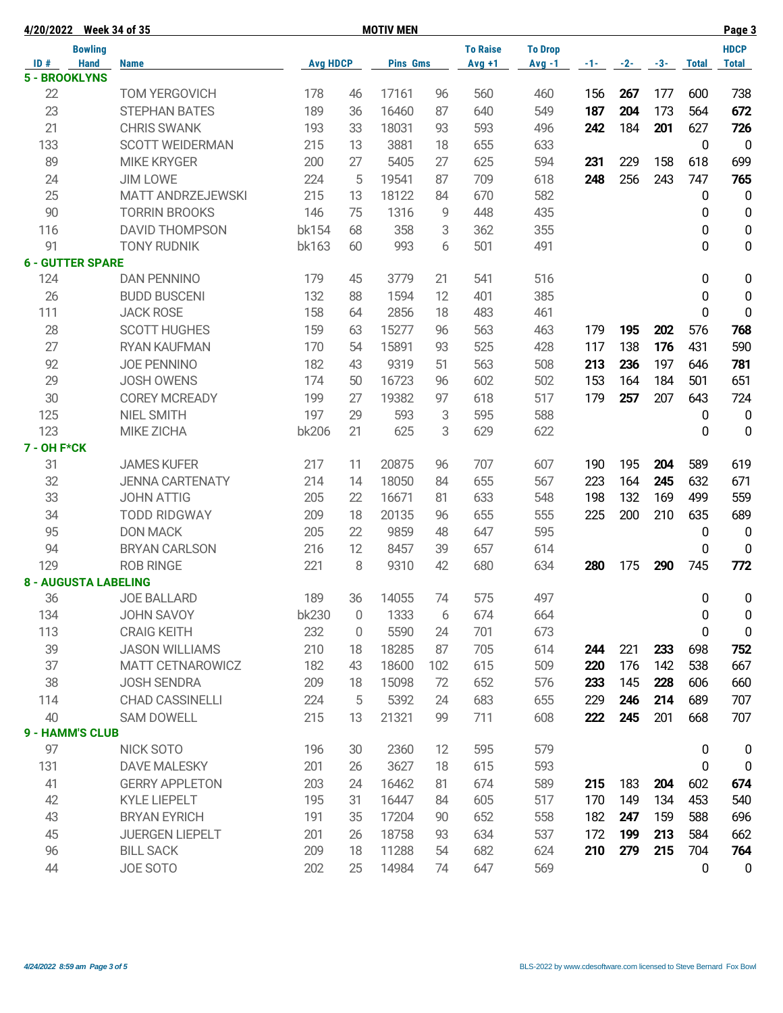|             | 4/20/2022 Week 34 of 35     |                          |                 |                | <b>MOTIV MEN</b> |     |                 |                |       |       |       |              | Page 3           |
|-------------|-----------------------------|--------------------------|-----------------|----------------|------------------|-----|-----------------|----------------|-------|-------|-------|--------------|------------------|
|             | <b>Bowling</b>              |                          |                 |                |                  |     | <b>To Raise</b> | <b>To Drop</b> |       |       |       |              | <b>HDCP</b>      |
| ID#         | <b>Hand</b>                 | <b>Name</b>              | <b>Avg HDCP</b> |                | <b>Pins Gms</b>  |     | $Avg +1$        | $Avg -1$       | $-1-$ | $-2-$ | $-3-$ | <b>Total</b> | <b>Total</b>     |
|             | <b>5 - BROOKLYNS</b>        |                          |                 |                |                  |     |                 |                |       |       |       |              |                  |
| 22          |                             | <b>TOM YERGOVICH</b>     | 178             | 46             | 17161            | 96  | 560             | 460            | 156   | 267   | 177   | 600          | 738              |
| 23          |                             | <b>STEPHAN BATES</b>     | 189             | 36             | 16460            | 87  | 640             | 549            | 187   | 204   | 173   | 564          | 672              |
| 21          |                             | <b>CHRIS SWANK</b>       | 193             | 33             | 18031            | 93  | 593             | 496            | 242   | 184   | 201   | 627          | 726              |
| 133         |                             | <b>SCOTT WEIDERMAN</b>   | 215             | 13             | 3881             | 18  | 655             | 633            |       |       |       | 0            | $\mathbf 0$      |
| 89          |                             | <b>MIKE KRYGER</b>       | 200             | 27             | 5405             | 27  | 625             | 594            | 231   | 229   | 158   | 618          | 699              |
| 24          |                             | <b>JIM LOWE</b>          | 224             | 5              | 19541            | 87  | 709             | 618            | 248   | 256   | 243   | 747          | 765              |
| 25          |                             | <b>MATT ANDRZEJEWSKI</b> | 215             | 13             | 18122            | 84  | 670             | 582            |       |       |       | 0            | $\mathbf 0$      |
| 90          |                             | <b>TORRIN BROOKS</b>     | 146             | 75             | 1316             | 9   | 448             | 435            |       |       |       | 0            | $\pmb{0}$        |
| 116         |                             | <b>DAVID THOMPSON</b>    | bk154           | 68             | 358              | 3   | 362             | 355            |       |       |       | 0            | $\pmb{0}$        |
| 91          |                             | <b>TONY RUDNIK</b>       | bk163           | 60             | 993              | 6   | 501             | 491            |       |       |       | 0            | $\pmb{0}$        |
|             | <b>6 - GUTTER SPARE</b>     |                          |                 |                |                  |     |                 |                |       |       |       |              |                  |
| 124         |                             | <b>DAN PENNINO</b>       | 179             | 45             | 3779             | 21  | 541             | 516            |       |       |       | 0            | 0                |
| 26          |                             | <b>BUDD BUSCENI</b>      | 132             | 88             | 1594             | 12  | 401             | 385            |       |       |       | 0            | $\boldsymbol{0}$ |
| 111         |                             | <b>JACK ROSE</b>         | 158             | 64             | 2856             | 18  | 483             | 461            |       |       |       | 0            | 0                |
| 28          |                             | <b>SCOTT HUGHES</b>      | 159             | 63             | 15277            | 96  | 563             | 463            | 179   | 195   | 202   | 576          | 768              |
| 27          |                             | <b>RYAN KAUFMAN</b>      | 170             | 54             | 15891            | 93  | 525             | 428            | 117   | 138   | 176   | 431          | 590              |
| 92          |                             | <b>JOE PENNINO</b>       | 182             | 43             | 9319             | 51  | 563             | 508            | 213   | 236   | 197   | 646          | 781              |
| 29          |                             | <b>JOSH OWENS</b>        | 174             | 50             | 16723            | 96  | 602             | 502            | 153   | 164   | 184   | 501          | 651              |
| 30          |                             | <b>COREY MCREADY</b>     | 199             | 27             | 19382            | 97  | 618             | 517            | 179   | 257   | 207   | 643          | 724              |
| 125         |                             | <b>NIEL SMITH</b>        | 197             | 29             | 593              | 3   | 595             | 588            |       |       |       | 0            | $\pmb{0}$        |
| 123         |                             | <b>MIKE ZICHA</b>        | bk206           | 21             | 625              | 3   | 629             | 622            |       |       |       | 0            | $\mathbf 0$      |
| 7 - OH F*CK |                             |                          |                 |                |                  |     |                 |                |       |       |       |              |                  |
| 31          |                             | <b>JAMES KUFER</b>       | 217             | 11             | 20875            | 96  | 707             | 607            | 190   | 195   | 204   | 589          | 619              |
| 32          |                             | <b>JENNA CARTENATY</b>   | 214             | 14             | 18050            | 84  | 655             | 567            | 223   | 164   | 245   | 632          | 671              |
| 33          |                             | <b>JOHN ATTIG</b>        | 205             | 22             | 16671            | 81  | 633             | 548            | 198   | 132   | 169   | 499          | 559              |
| 34          |                             | <b>TODD RIDGWAY</b>      | 209             | 18             | 20135            | 96  | 655             | 555            | 225   | 200   | 210   | 635          | 689              |
| 95          |                             | <b>DON MACK</b>          | 205             | 22             | 9859             | 48  | 647             | 595            |       |       |       | 0            | $\boldsymbol{0}$ |
| 94          |                             | <b>BRYAN CARLSON</b>     | 216             | 12             | 8457             | 39  | 657             | 614            |       |       |       | 0            | $\mathbf 0$      |
| 129         |                             | <b>ROB RINGE</b>         | 221             | 8              | 9310             | 42  | 680             | 634            | 280   | 175   | 290   | 745          | 772              |
|             | <b>8 - AUGUSTA LABELING</b> |                          |                 |                |                  |     |                 |                |       |       |       |              |                  |
| 36          |                             | <b>JOE BALLARD</b>       | 189             | 36             | 14055            | 74  | 575             | 497            |       |       |       | 0            | $\pmb{0}$        |
| 134         |                             | JOHN SAVOY               | bk230           | $\overline{0}$ | 1333             | 6   | 674             | 664            |       |       |       | 0            | 0                |
| 113         |                             | <b>CRAIG KEITH</b>       | 232             | 0              | 5590             | 24  | 701             | 673            |       |       |       | 0            | $\boldsymbol{0}$ |
| 39          |                             | <b>JASON WILLIAMS</b>    | 210             | 18             | 18285            | 87  | 705             | 614            | 244   | 221   | 233   | 698          | 752              |
| 37          |                             | MATT CETNAROWICZ         | 182             | 43             | 18600            | 102 | 615             | 509            | 220   | 176   | 142   | 538          | 667              |
| 38          |                             | <b>JOSH SENDRA</b>       | 209             | 18             | 15098            | 72  | 652             | 576            | 233   | 145   | 228   | 606          | 660              |
| 114         |                             | <b>CHAD CASSINELLI</b>   | 224             | 5              | 5392             | 24  | 683             | 655            | 229   | 246   | 214   | 689          | 707              |
| 40          |                             | <b>SAM DOWELL</b>        | 215             | 13             | 21321            | 99  | 711             | 608            | 222   | 245   | 201   | 668          | 707              |
|             | <b>9 - HAMM'S CLUB</b>      |                          |                 |                |                  |     |                 |                |       |       |       |              |                  |
| 97          |                             | NICK SOTO                | 196             | 30             | 2360             | 12  | 595             | 579            |       |       |       | 0            | 0                |
| 131         |                             | <b>DAVE MALESKY</b>      | 201             | 26             | 3627             | 18  | 615             | 593            |       |       |       | 0            | 0                |
| 41          |                             | <b>GERRY APPLETON</b>    | 203             | 24             | 16462            | 81  | 674             | 589            | 215   | 183   | 204   | 602          | 674              |
| 42          |                             | <b>KYLE LIEPELT</b>      | 195             | 31             | 16447            | 84  | 605             | 517            | 170   | 149   | 134   | 453          | 540              |
| 43          |                             | <b>BRYAN EYRICH</b>      | 191             | 35             | 17204            | 90  | 652             | 558            | 182   | 247   | 159   | 588          | 696              |
| 45          |                             | JUERGEN LIEPELT          | 201             | 26             | 18758            | 93  | 634             | 537            | 172   | 199   | 213   | 584          | 662              |
| 96          |                             | <b>BILL SACK</b>         | 209             | 18             | 11288            | 54  | 682             | 624            | 210   | 279   | 215   | 704          | 764              |
| 44          |                             | JOE SOTO                 | 202             | 25             | 14984            | 74  | 647             | 569            |       |       |       | 0            | 0                |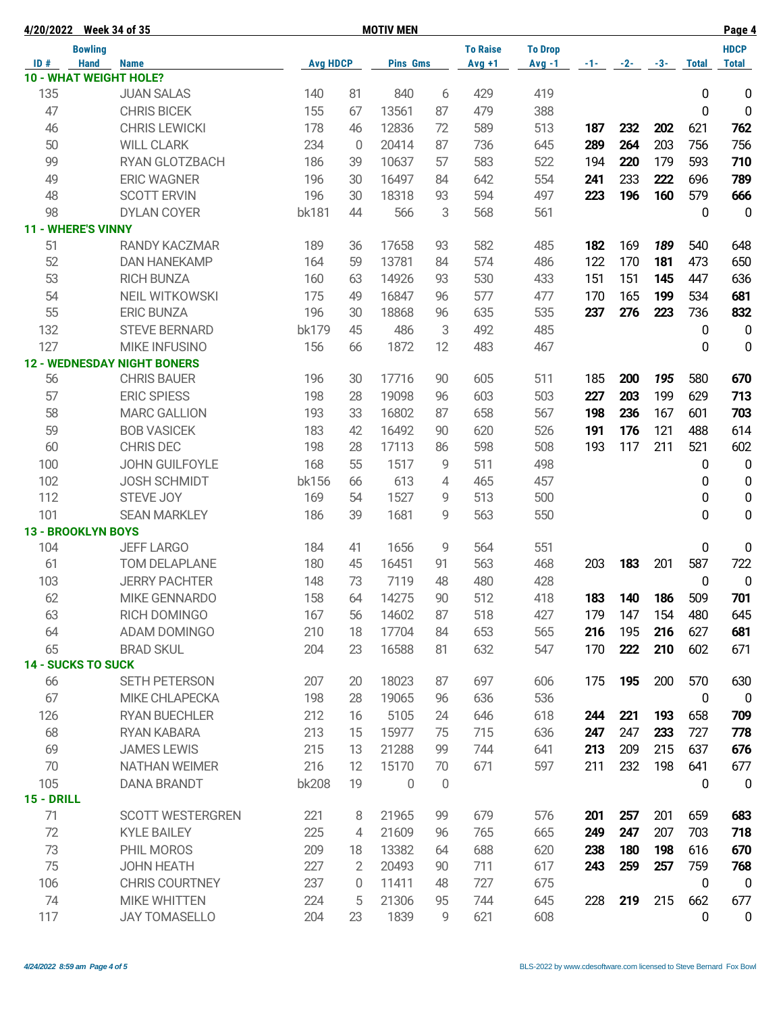|                   | 4/20/2022 Week 34 of 35            |                 |                | <b>MOTIV MEN</b> |    |                 |                |     |                |     | Page 4       |                  |
|-------------------|------------------------------------|-----------------|----------------|------------------|----|-----------------|----------------|-----|----------------|-----|--------------|------------------|
|                   | <b>Bowling</b>                     |                 |                |                  |    | <b>To Raise</b> | <b>To Drop</b> |     |                |     |              | <b>HDCP</b>      |
| ID#               | <b>Hand</b><br><b>Name</b>         | <b>Avg HDCP</b> |                | <b>Pins Gms</b>  |    | $Avg +1$        | $Avg -1$       |     | $-1$ $-2$ $-3$ |     | <b>Total</b> | <b>Total</b>     |
|                   | <b>10 - WHAT WEIGHT HOLE?</b>      |                 |                |                  |    |                 |                |     |                |     |              |                  |
| 135               | <b>JUAN SALAS</b>                  | 140             | 81             | 840              | 6  | 429             | 419            |     |                |     | 0            | 0                |
| 47                | <b>CHRIS BICEK</b>                 | 155             | 67             | 13561            | 87 | 479             | 388            |     |                |     | 0            | $\mathbf 0$      |
| 46                | <b>CHRIS LEWICKI</b>               | 178             | 46             | 12836            | 72 | 589             | 513            | 187 | 232            | 202 | 621          | 762              |
| 50                | <b>WILL CLARK</b>                  | 234             | $\mathbf 0$    | 20414            | 87 | 736             | 645            | 289 | 264            | 203 | 756          | 756              |
| 99                | RYAN GLOTZBACH                     | 186             | 39             | 10637            | 57 | 583             | 522            | 194 | 220            | 179 | 593          | 710              |
| 49                | <b>ERIC WAGNER</b>                 | 196             | 30             | 16497            | 84 | 642             | 554            | 241 | 233            | 222 | 696          | 789              |
| 48                | <b>SCOTT ERVIN</b>                 | 196             | 30             | 18318            | 93 | 594             | 497            | 223 | 196            | 160 | 579          | 666              |
| 98                | <b>DYLAN COYER</b>                 | bk181           | 44             | 566              | 3  | 568             | 561            |     |                |     | 0            | 0                |
|                   | <b>11 - WHERE'S VINNY</b>          |                 |                |                  |    |                 |                |     |                |     |              |                  |
| 51                | <b>RANDY KACZMAR</b>               | 189             | 36             | 17658            | 93 | 582             | 485            | 182 | 169            | 189 | 540          | 648              |
| 52                | <b>DAN HANEKAMP</b>                | 164             | 59             | 13781            | 84 | 574             | 486            | 122 | 170            | 181 | 473          | 650              |
| 53                | <b>RICH BUNZA</b>                  | 160             | 63             | 14926            | 93 | 530             | 433            | 151 | 151            | 145 | 447          | 636              |
| 54                | <b>NEIL WITKOWSKI</b>              | 175             | 49             | 16847            | 96 | 577             | 477            | 170 | 165            | 199 | 534          | 681              |
| 55                | <b>ERIC BUNZA</b>                  | 196             | 30             | 18868            | 96 | 635             | 535            | 237 | 276            | 223 | 736          | 832              |
| 132               | <b>STEVE BERNARD</b>               | bk179           | 45             | 486              | 3  | 492             | 485            |     |                |     | 0            | $\mathbf 0$      |
| 127               | <b>MIKE INFUSINO</b>               | 156             | 66             | 1872             | 12 | 483             | 467            |     |                |     | 0            | $\mathbf 0$      |
|                   | <b>12 - WEDNESDAY NIGHT BONERS</b> |                 |                |                  |    |                 |                |     |                |     |              |                  |
| 56                | <b>CHRIS BAUER</b>                 | 196             | 30             | 17716            | 90 | 605             | 511            | 185 | 200            | 195 | 580          | 670              |
| 57                | <b>ERIC SPIESS</b>                 | 198             | 28             | 19098            | 96 | 603             | 503            | 227 | 203            | 199 | 629          | 713              |
| 58                | <b>MARC GALLION</b>                | 193             | 33             | 16802            | 87 | 658             | 567            | 198 | 236            | 167 | 601          | 703              |
| 59                | <b>BOB VASICEK</b>                 | 183             | 42             | 16492            | 90 | 620             | 526            | 191 | 176            | 121 | 488          | 614              |
| 60                | <b>CHRIS DEC</b>                   | 198             | 28             | 17113            | 86 | 598             | 508            | 193 | 117            | 211 | 521          | 602              |
| 100               | JOHN GUILFOYLE                     | 168             | 55             | 1517             | 9  | 511             | 498            |     |                |     | 0            | $\mathbf 0$      |
| 102               | <b>JOSH SCHMIDT</b>                | bk156           | 66             | 613              | 4  | 465             | 457            |     |                |     | 0            | $\pmb{0}$        |
| 112               | STEVE JOY                          | 169             | 54             | 1527             | 9  | 513             | 500            |     |                |     | 0            | $\mathbf 0$      |
| 101               | <b>SEAN MARKLEY</b>                | 186             | 39             | 1681             | 9  | 563             | 550            |     |                |     | 0            | 0                |
|                   | <b>13 - BROOKLYN BOYS</b>          |                 |                |                  |    |                 |                |     |                |     |              |                  |
| 104               | <b>JEFF LARGO</b>                  | 184             | 41             | 1656             | 9  | 564             | 551            |     |                |     | 0            | 0                |
| 61                | TOM DELAPLANE                      | 180             | 45             | 16451            | 91 | 563             | 468            | 203 | 183            | 201 | 587          | 722              |
| 103               | <b>JERRY PACHTER</b>               | 148             | 73             | 7119             | 48 | 480             | 428            |     |                |     | 0            | $\boldsymbol{0}$ |
| 62                | MIKE GENNARDO                      | 158             | 64             | 14275            | 90 | 512             | 418            | 183 | 140            | 186 | 509          | 701              |
| 63                | RICH DOMINGO                       | 167             | 56             | 14602            | 87 | 518             | 427            | 179 | 147            | 154 | 480          | 645              |
| 64                | ADAM DOMINGO                       | 210             | 18             | 17704            | 84 | 653             | 565            | 216 | 195            | 216 | 627          | 681              |
| 65                | <b>BRAD SKUL</b>                   | 204             | 23             | 16588            | 81 | 632             | 547            | 170 | 222            | 210 | 602          | 671              |
|                   | <b>14 - SUCKS TO SUCK</b>          |                 |                |                  |    |                 |                |     |                |     |              |                  |
| 66                | <b>SETH PETERSON</b>               | 207             | 20             | 18023            | 87 | 697             | 606            | 175 | 195            | 200 | 570          | 630              |
| 67                | <b>MIKE CHLAPECKA</b>              | 198             | 28             | 19065            | 96 | 636             | 536            |     |                |     | $\mathbf 0$  | $\mathbf 0$      |
| 126               | <b>RYAN BUECHLER</b>               | 212             | 16             | 5105             | 24 | 646             | 618            | 244 | 221            | 193 | 658          | 709              |
| 68                | <b>RYAN KABARA</b>                 | 213             | 15             | 15977            | 75 | 715             | 636            | 247 | 247            | 233 | 727          | 778              |
| 69                | <b>JAMES LEWIS</b>                 | 215             | 13             | 21288            | 99 | 744             | 641            | 213 | 209            | 215 | 637          | 676              |
| 70                | <b>NATHAN WEIMER</b>               | 216             | 12             | 15170            | 70 | 671             | 597            | 211 | 232            | 198 | 641          | 677              |
| 105               |                                    | <b>bk208</b>    | 19             |                  |    |                 |                |     |                |     |              |                  |
| <b>15 - DRILL</b> | <b>DANA BRANDT</b>                 |                 |                | 0                | 0  |                 |                |     |                |     | 0            | $\mathbf 0$      |
| 71                | <b>SCOTT WESTERGREN</b>            | 221             | 8              | 21965            | 99 | 679             | 576            | 201 | 257            | 201 | 659          | 683              |
| 72                | <b>KYLE BAILEY</b>                 | 225             | 4              | 21609            | 96 | 765             | 665            | 249 | 247            | 207 | 703          | 718              |
| 73                |                                    | 209             |                | 13382            |    |                 |                |     | 180            | 198 | 616          |                  |
| 75                | PHIL MOROS                         | 227             | 18             | 20493            | 64 | 688<br>711      | 620<br>617     | 238 | 259            |     | 759          | 670              |
|                   | <b>JOHN HEATH</b>                  |                 | $\overline{2}$ |                  | 90 |                 |                | 243 |                | 257 |              | 768              |
| 106               | <b>CHRIS COURTNEY</b>              | 237             | 0              | 11411            | 48 | 727             | 675            |     |                |     | 0            | $\mathbf 0$      |
| 74                | <b>MIKE WHITTEN</b>                | 224             | 5              | 21306            | 95 | 744             | 645            | 228 | 219            | 215 | 662          | 677              |
| 117               | <b>JAY TOMASELLO</b>               | 204             | 23             | 1839             | 9  | 621             | 608            |     |                |     | 0            | $\pmb{0}$        |